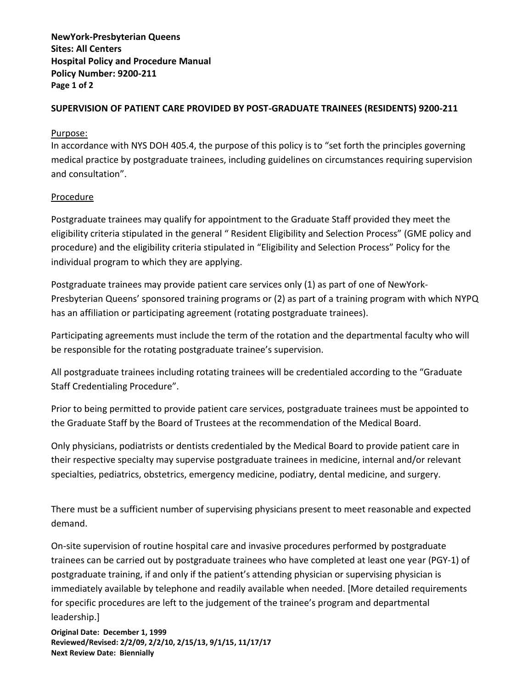**NewYork-Presbyterian Queens Sites: All Centers Hospital Policy and Procedure Manual Policy Number: 9200-211 Page 1 of 2**

## **SUPERVISION OF PATIENT CARE PROVIDED BY POST-GRADUATE TRAINEES (RESIDENTS) 9200-211**

## Purpose:

In accordance with NYS DOH 405.4, the purpose of this policy is to "set forth the principles governing medical practice by postgraduate trainees, including guidelines on circumstances requiring supervision and consultation".

## Procedure

Postgraduate trainees may qualify for appointment to the Graduate Staff provided they meet the eligibility criteria stipulated in the general " Resident Eligibility and Selection Process" (GME policy and procedure) and the eligibility criteria stipulated in "Eligibility and Selection Process" Policy for the individual program to which they are applying.

Postgraduate trainees may provide patient care services only (1) as part of one of NewYork-Presbyterian Queens' sponsored training programs or (2) as part of a training program with which NYPQ has an affiliation or participating agreement (rotating postgraduate trainees).

Participating agreements must include the term of the rotation and the departmental faculty who will be responsible for the rotating postgraduate trainee's supervision.

All postgraduate trainees including rotating trainees will be credentialed according to the "Graduate Staff Credentialing Procedure".

Prior to being permitted to provide patient care services, postgraduate trainees must be appointed to the Graduate Staff by the Board of Trustees at the recommendation of the Medical Board.

Only physicians, podiatrists or dentists credentialed by the Medical Board to provide patient care in their respective specialty may supervise postgraduate trainees in medicine, internal and/or relevant specialties, pediatrics, obstetrics, emergency medicine, podiatry, dental medicine, and surgery.

There must be a sufficient number of supervising physicians present to meet reasonable and expected demand.

On-site supervision of routine hospital care and invasive procedures performed by postgraduate trainees can be carried out by postgraduate trainees who have completed at least one year (PGY-1) of postgraduate training, if and only if the patient's attending physician or supervising physician is immediately available by telephone and readily available when needed. [More detailed requirements for specific procedures are left to the judgement of the trainee's program and departmental leadership.]

**Original Date: December 1, 1999 Reviewed/Revised: 2/2/09, 2/2/10, 2/15/13, 9/1/15, 11/17/17 Next Review Date: Biennially**